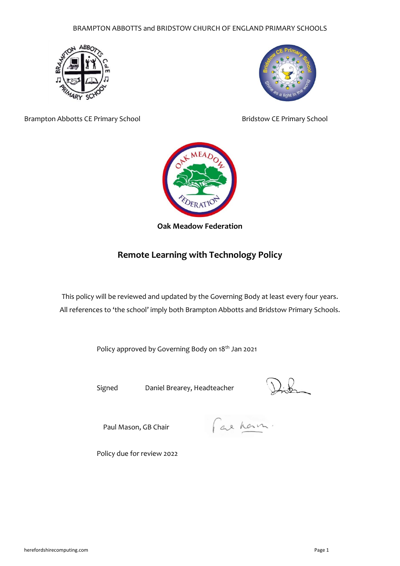BRAMPTON ABBOTTS and BRIDSTOW CHURCH OF ENGLAND PRIMARY SCHOOLS





Brampton Abbotts CE Primary School **Bridstow CE Primary School** Bridstow CE Primary School



## **Oak Meadow Federation**

# **Remote Learning with Technology Policy**

This policy will be reviewed and updated by the Governing Body at least every four years. All references to 'the school' imply both Brampton Abbotts and Bridstow Primary Schools.

Policy approved by Governing Body on 18<sup>th</sup> Jan 2021

Signed Daniel Brearey, Headteacher

Paul Mason, GB Chair

Fax han

Policy due for review 2022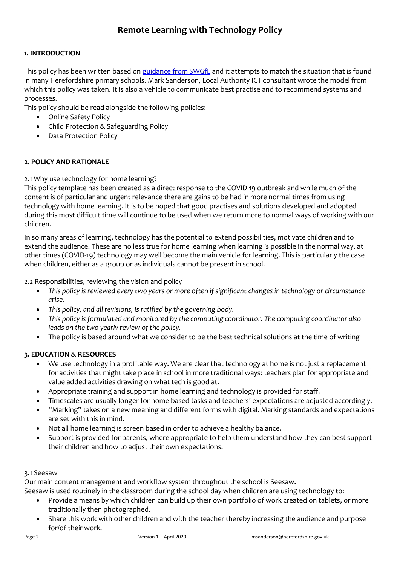## **1. INTRODUCTION**

This policy has been written based on [guidance from SWGfL](https://swgfl.org.uk/resources/safe-remote-learning/?fbclid=IwAR2y0c27EVybgoiEjCmTx8Cr3Oe5ATu-r_QTFMFc4P7iX9TI2I9aQBbSqF4) and it attempts to match the situation that is found in many Herefordshire primary schools. Mark Sanderson, Local Authority ICT consultant wrote the model from which this policy was taken. It is also a vehicle to communicate best practise and to recommend systems and processes.

This policy should be read alongside the following policies:

- Online Safety Policy
- Child Protection & Safeguarding Policy
- Data Protection Policy

## **2. POLICY AND RATIONALE**

2.1 Why use technology for home learning?

This policy template has been created as a direct response to the COVID 19 outbreak and while much of the content is of particular and urgent relevance there are gains to be had in more normal times from using technology with home learning. It is to be hoped that good practises and solutions developed and adopted during this most difficult time will continue to be used when we return more to normal ways of working with our children.

In so many areas of learning, technology has the potential to extend possibilities, motivate children and to extend the audience. These are no less true for home learning when learning is possible in the normal way, at other times (COVID-19) technology may well become the main vehicle for learning. This is particularly the case when children, either as a group or as individuals cannot be present in school.

2.2 Responsibilities, reviewing the vision and policy

- *This policy is reviewed every two years or more often if significant changes in technology or circumstance arise.*
- *This policy, and all revisions, is ratified by the governing body.*
- *This policy is formulated and monitored by the computing coordinator. The computing coordinator also leads on the two yearly review of the policy.*
- The policy is based around what we consider to be the best technical solutions at the time of writing

## **3. EDUCATION & RESOURCES**

- We use technology in a profitable way. We are clear that technology at home is not just a replacement for activities that might take place in school in more traditional ways: teachers plan for appropriate and value added activities drawing on what tech is good at.
- Appropriate training and support in home learning and technology is provided for staff.
- Timescales are usually longer for home based tasks and teachers' expectations are adjusted accordingly.
- "Marking" takes on a new meaning and different forms with digital. Marking standards and expectations are set with this in mind.
- Not all home learning is screen based in order to achieve a healthy balance.
- Support is provided for parents, where appropriate to help them understand how they can best support their children and how to adjust their own expectations.

## 3.1 Seesaw

Our main content management and workflow system throughout the school is Seesaw.

Seesaw is used routinely in the classroom during the school day when children are using technology to:

- Provide a means by which children can build up their own portfolio of work created on tablets, or more traditionally then photographed.
- Share this work with other children and with the teacher thereby increasing the audience and purpose for/of their work.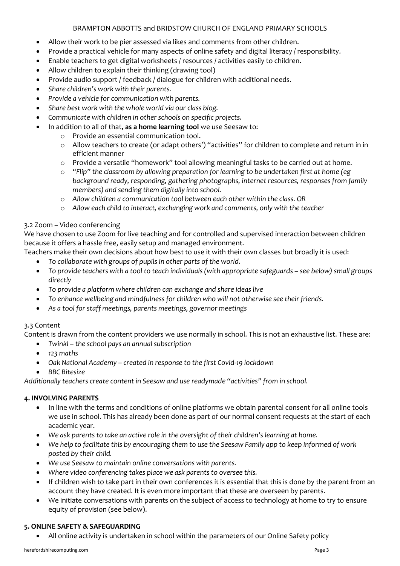## BRAMPTON ABBOTTS and BRIDSTOW CHURCH OF ENGLAND PRIMARY SCHOOLS

- Allow their work to be pier assessed via likes and comments from other children.
- Provide a practical vehicle for many aspects of online safety and digital literacy / responsibility.
- Enable teachers to get digital worksheets / resources / activities easily to children.
- Allow children to explain their thinking (drawing tool)
- Provide audio support / feedback / dialogue for children with additional needs.
- *Share children's work with their parents.*
- *Provide a vehicle for communication with parents.*
- *Share best work with the whole world via our class blog.*
- *Communicate with children in other schools on specific projects.*
- In addition to all of that, **as a home learning tool** we use Seesaw to:
	- o Provide an essential communication tool.
	- o Allow teachers to create (or adapt others') "activities" for children to complete and return in in efficient manner
	- o Provide a versatile "homework" tool allowing meaningful tasks to be carried out at home.
	- o *"Flip" the classroom by allowing preparation for learning to be undertaken first at home (eg background ready, responding, gathering photographs, internet resources, responses from family members) and sending them digitally into school.*
	- o *Allow children a communication tool between each other within the class. OR*
	- o *Allow each child to interact, exchanging work and comments, only with the teacher*

## 3.2 Zoom – Video conferencing

We have chosen to use Zoom for live teaching and for controlled and supervised interaction between children because it offers a hassle free, easily setup and managed environment.

Teachers make their own decisions about how best to use it with their own classes but broadly it is used:

- *To collaborate with groups of pupils in other parts of the world.*
- *To provide teachers with a tool to teach individuals (with appropriate safeguards – see below) small groups directly*
- *To provide a platform where children can exchange and share ideas live*
- *To enhance wellbeing and mindfulness for children who will not otherwise see their friends.*
- *As a tool for staff meetings, parents meetings, governor meetings*

## 3.3 Content

Content is drawn from the content providers we use normally in school. This is not an exhaustive list. These are:

- *Twinkl – the school pays an annual subscription*
- *123 maths*
- *Oak National Academy – created in response to the first Covid-19 lockdown*
- *BBC Bitesize*

*Additionally teachers create content in Seesaw and use readymade "activities" from in school.* 

## **4. INVOLVING PARENTS**

- In line with the terms and conditions of online platforms we obtain parental consent for all online tools we use in school. This has already been done as part of our normal consent requests at the start of each academic year.
- *We ask parents to take an active role in the oversight of their children's learning at home.*
- *We help to facilitate this by encouraging them to use the Seesaw Family app to keep informed of work posted by their child.*
- *We use Seesaw to maintain online conversations with parents.*
- *Where video conferencing takes place we ask parents to oversee this.*
- If children wish to take part in their own conferences it is essential that this is done by the parent from an account they have created. It is even more important that these are overseen by parents.
- We initiate conversations with parents on the subject of access to technology at home to try to ensure equity of provision (see below).

## **5. ONLINE SAFETY & SAFEGUARDING**

• All online activity is undertaken in school within the parameters of our Online Safety policy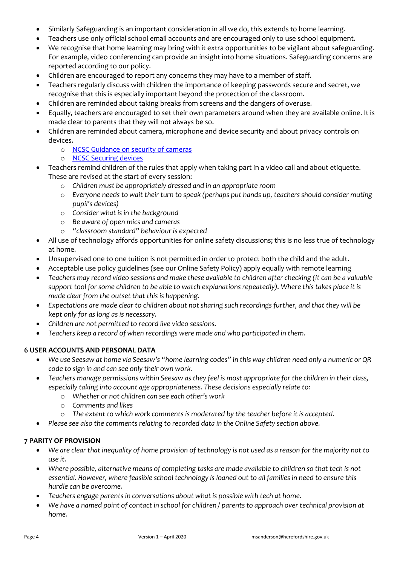- Similarly Safeguarding is an important consideration in all we do, this extends to home learning.
- Teachers use only official school email accounts and are encouraged only to use school equipment.
- We recognise that home learning may bring with it extra opportunities to be vigilant about safeguarding. For example, video conferencing can provide an insight into home situations. Safeguarding concerns are reported according to our policy.
- Children are encouraged to report any concerns they may have to a member of staff.
- Teachers regularly discuss with children the importance of keeping passwords secure and secret, we recognise that this is especially important beyond the protection of the classroom.
- Children are reminded about taking breaks from screens and the dangers of overuse.
- Equally, teachers are encouraged to set their own parameters around when they are available online. It is made clear to parents that they will not always be so.
- Children are reminded about camera, microphone and device security and about privacy controls on devices.
	- o [NCSC Guidance on security of cameras](https://www.ncsc.gov.uk/guidance/smart-security-cameras-using-them-safely-in-your-home)
	- o [NCSC Securing devices](https://www.ncsc.gov.uk/guidance/securing-your-devices)
- Teachers remind children of the rules that apply when taking part in a video call and about etiquette. These are revised at the start of every session:
	- o *Children must be appropriately dressed and in an appropriate room*
	- o *Everyone needs to wait their turn to speak (perhaps put hands up, teachers should consider muting pupil's devices)*
	- o *Consider what is in the background*
	- o *Be aware of open mics and cameras*
	- o *"classroom standard" behaviour is expected*
- All use of technology affords opportunities for online safety discussions; this is no less true of technology at home.
- Unsupervised one to one tuition is not permitted in order to protect both the child and the adult.
- Acceptable use policy guidelines (see our Online Safety Policy) apply equally with remote learning
- *Teachers may record video sessions and make these available to children after checking (it can be a valuable support tool for some children to be able to watch explanations repeatedly). Where this takes place it is made clear from the outset that this is happening.*
- *Expectations are made clear to children about not sharing such recordings further, and that they will be kept only for as long as is necessary.*
- *Children are not permitted to record live video sessions.*
- *Teachers keep a record of when recordings were made and who participated in them.*

## **6 USER ACCOUNTS AND PERSONAL DATA**

- *We use Seesaw at home via Seesaw's "home learning codes" in this way children need only a numeric or QR code to sign in and can see only their own work.*
- *Teachers manage permissions within Seesaw as they feel is most appropriate for the children in their class, especially taking into account age appropriateness. These decisions especially relate to:*
	- o *Whether or not children can see each other's work*
	- o *Comments and likes*
	- o *The extent to which work comments is moderated by the teacher before it is accepted.*
- *Please see also the comments relating to recorded data in the Online Safety section above.*

## **7 PARITY OF PROVISION**

- *We are clear that inequality of home provision of technology is not used as a reason for the majority not to use it.*
- *Where possible, alternative means of completing tasks are made available to children so that tech is not essential. However, where feasible school technology is loaned out to all families in need to ensure this hurdle can be overcome.*
- *Teachers engage parents in conversations about what is possible with tech at home.*
- *We have a named point of contact in school for children / parents to approach over technical provision at home.*